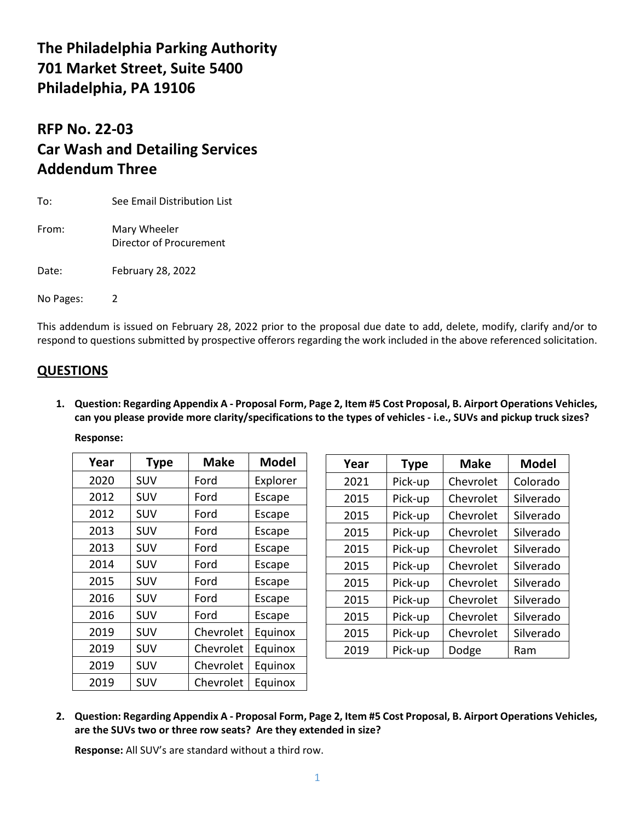## **The Philadelphia Parking Authority 701 Market Street, Suite 5400 Philadelphia, PA 19106**

## **RFP No. 22-03 Car Wash and Detailing Services Addendum Three**

| To:       | See Email Distribution List             |  |
|-----------|-----------------------------------------|--|
| From:     | Mary Wheeler<br>Director of Procurement |  |
| Date:     | February 28, 2022                       |  |
| No Pages: | 2                                       |  |

This addendum is issued on February 28, 2022 prior to the proposal due date to add, delete, modify, clarify and/or to respond to questions submitted by prospective offerors regarding the work included in the above referenced solicitation.

## **QUESTIONS**

**1. Question: Regarding Appendix A - Proposal Form, Page 2, Item #5 Cost Proposal, B. Airport Operations Vehicles, can you please provide more clarity/specifications to the types of vehicles - i.e., SUVs and pickup truck sizes?**

**Response:**

| Year | <b>Type</b> | <b>Make</b> | <b>Model</b> |
|------|-------------|-------------|--------------|
| 2020 | SUV         | Ford        | Explorer     |
| 2012 | SUV         | Ford        | Escape       |
| 2012 | SUV         | Ford        | Escape       |
| 2013 | SUV         | Ford        | Escape       |
| 2013 | SUV         | Ford        | Escape       |
| 2014 | SUV         | Ford        | Escape       |
| 2015 | SUV         | Ford        | Escape       |
| 2016 | SUV         | Ford        | Escape       |
| 2016 | SUV         | Ford        | Escape       |
| 2019 | SUV         | Chevrolet   | Equinox      |
| 2019 | SUV         | Chevrolet   | Equinox      |
| 2019 | SUV         | Chevrolet   | Equinox      |
| 2019 | SUV         | Chevrolet   | Equinox      |

| Year | <b>Type</b> | <b>Make</b> | <b>Model</b> |
|------|-------------|-------------|--------------|
| 2021 | Pick-up     | Chevrolet   | Colorado     |
| 2015 | Pick-up     | Chevrolet   | Silverado    |
| 2015 | Pick-up     | Chevrolet   | Silverado    |
| 2015 | Pick-up     | Chevrolet   | Silverado    |
| 2015 | Pick-up     | Chevrolet   | Silverado    |
| 2015 | Pick-up     | Chevrolet   | Silverado    |
| 2015 | Pick-up     | Chevrolet   | Silverado    |
| 2015 | Pick-up     | Chevrolet   | Silverado    |
| 2015 | Pick-up     | Chevrolet   | Silverado    |
| 2015 | Pick-up     | Chevrolet   | Silverado    |
| 2019 | Pick-up     | Dodge       | Ram          |

**2. Question: Regarding Appendix A - Proposal Form, Page 2, Item #5 Cost Proposal, B. Airport Operations Vehicles, are the SUVs two or three row seats? Are they extended in size?**

**Response:** All SUV's are standard without a third row.